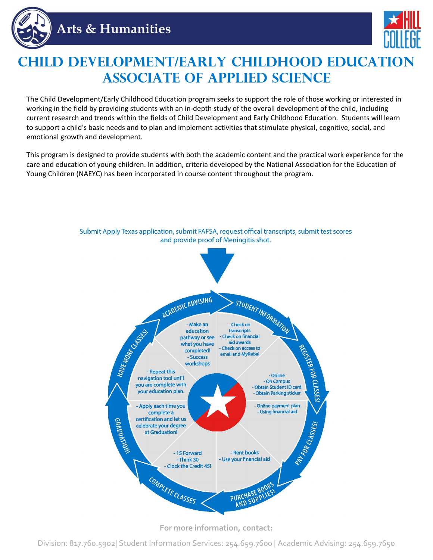



## **Child Development/Early Childhood Education Associate of Applied Science**

The Child Development/Early Childhood Education program seeks to support the role of those working or interested in working in the field by providing students with an in-depth study of the overall development of the child, including current research and trends within the fields of Child Development and Early Childhood Education. Students will learn to support a child's basic needs and to plan and implement activities that stimulate physical, cognitive, social, and emotional growth and development.

This program is designed to provide students with both the academic content and the practical work experience for the care and education of young children. In addition, criteria developed by the National Association for the Education of Young Children (NAEYC) has been incorporated in course content throughout the program.

Submit Apply Texas application, submit FAFSA, request offical transcripts, submit test scores



**For more information, contact:**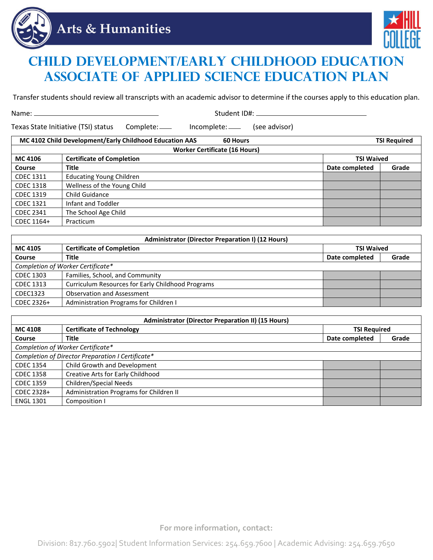



## **Child Development/Early Childhood Education Associate of Applied Science Education Plan**

Transfer students should review all transcripts with an academic advisor to determine if the courses apply to this education plan.

Name: Student ID#:

Texas State Initiative (TSI) status Complete: \_\_\_\_ Incomplete: \_\_\_\_ (see advisor)

| MC 4102 Child Development/Early Childhood Education AAS<br><b>60 Hours</b> |                                                       | <b>TSI Required</b> |                |       |  |  |
|----------------------------------------------------------------------------|-------------------------------------------------------|---------------------|----------------|-------|--|--|
| <b>Worker Certificate (16 Hours)</b>                                       |                                                       |                     |                |       |  |  |
| <b>MC 4106</b>                                                             | <b>Certificate of Completion</b><br><b>TSI Waived</b> |                     |                |       |  |  |
| <b>Course</b>                                                              | <b>Title</b>                                          |                     | Date completed | Grade |  |  |
| <b>CDEC 1311</b>                                                           | <b>Educating Young Children</b>                       |                     |                |       |  |  |
| <b>CDEC 1318</b>                                                           | Wellness of the Young Child                           |                     |                |       |  |  |
| <b>CDEC 1319</b>                                                           | Child Guidance                                        |                     |                |       |  |  |
| <b>CDEC 1321</b>                                                           | Infant and Toddler                                    |                     |                |       |  |  |
| <b>CDEC 2341</b>                                                           | The School Age Child                                  |                     |                |       |  |  |
| CDEC 1164+                                                                 | Practicum                                             |                     |                |       |  |  |

| <b>Administrator (Director Preparation I) (12 Hours)</b> |                                                          |                   |       |  |
|----------------------------------------------------------|----------------------------------------------------------|-------------------|-------|--|
| MC 4105                                                  | <b>Certificate of Completion</b>                         | <b>TSI Waived</b> |       |  |
| Course                                                   | <b>Title</b>                                             | Date completed    | Grade |  |
| Completion of Worker Certificate*                        |                                                          |                   |       |  |
| CDEC 1303                                                | Families, School, and Community                          |                   |       |  |
| <b>CDEC 1313</b>                                         | <b>Curriculum Resources for Early Childhood Programs</b> |                   |       |  |
| CDEC1323                                                 | Observation and Assessment                               |                   |       |  |
| CDEC 2326+                                               | Administration Programs for Children I                   |                   |       |  |

| <b>Administrator (Director Preparation II) (15 Hours)</b> |                                         |                     |       |  |  |
|-----------------------------------------------------------|-----------------------------------------|---------------------|-------|--|--|
| MC 4108                                                   | <b>Certificate of Technology</b>        | <b>TSI Required</b> |       |  |  |
| <b>Course</b>                                             | <b>Title</b>                            | Date completed      | Grade |  |  |
| Completion of Worker Certificate*                         |                                         |                     |       |  |  |
| Completion of Director Preparation I Certificate*         |                                         |                     |       |  |  |
| <b>CDEC 1354</b>                                          | Child Growth and Development            |                     |       |  |  |
| <b>CDEC 1358</b>                                          | Creative Arts for Early Childhood       |                     |       |  |  |
| <b>CDEC 1359</b>                                          | Children/Special Needs                  |                     |       |  |  |
| CDEC 2328+                                                | Administration Programs for Children II |                     |       |  |  |
| <b>ENGL 1301</b>                                          | Composition I                           |                     |       |  |  |